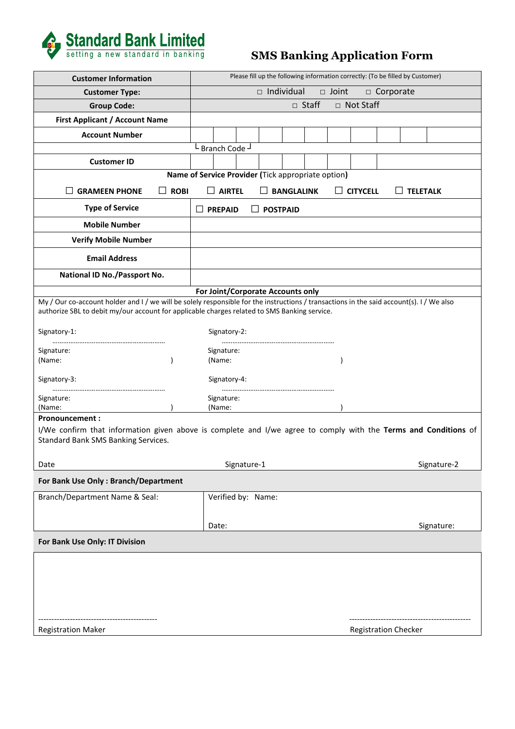

| <b>Customer Information</b>                                                                                                                                                                                                              | Please fill up the following information correctly: (To be filled by Customer)            |  |
|------------------------------------------------------------------------------------------------------------------------------------------------------------------------------------------------------------------------------------------|-------------------------------------------------------------------------------------------|--|
| <b>Customer Type:</b>                                                                                                                                                                                                                    | $\Box$ Individual<br>$\Box$ Joint<br>$\Box$ Corporate                                     |  |
| <b>Group Code:</b>                                                                                                                                                                                                                       | □ Staff<br>□ Not Staff                                                                    |  |
| <b>First Applicant / Account Name</b>                                                                                                                                                                                                    |                                                                                           |  |
| <b>Account Number</b>                                                                                                                                                                                                                    |                                                                                           |  |
|                                                                                                                                                                                                                                          | · Branch Code <sup>J</sup>                                                                |  |
| <b>Customer ID</b>                                                                                                                                                                                                                       |                                                                                           |  |
| Name of Service Provider (Tick appropriate option)                                                                                                                                                                                       |                                                                                           |  |
| <b>ROBI</b><br><b>GRAMEEN PHONE</b><br>$\mathsf{L}$                                                                                                                                                                                      | <b>AIRTEL</b><br><b>BANGLALINK</b><br><b>CITYCELL</b><br>$\Box$ TELETALK<br>ΙI<br>$\perp$ |  |
| <b>Type of Service</b>                                                                                                                                                                                                                   | <b>PREPAID</b><br><b>POSTPAID</b><br>$\mathsf{L}$                                         |  |
| <b>Mobile Number</b>                                                                                                                                                                                                                     |                                                                                           |  |
| <b>Verify Mobile Number</b>                                                                                                                                                                                                              |                                                                                           |  |
| <b>Email Address</b>                                                                                                                                                                                                                     |                                                                                           |  |
| National ID No./Passport No.                                                                                                                                                                                                             |                                                                                           |  |
| For Joint/Corporate Accounts only                                                                                                                                                                                                        |                                                                                           |  |
| My / Our co-account holder and I / we will be solely responsible for the instructions / transactions in the said account(s). I / We also<br>authorize SBL to debit my/our account for applicable charges related to SMS Banking service. |                                                                                           |  |
| Signatory-1:                                                                                                                                                                                                                             | Signatory-2:                                                                              |  |
|                                                                                                                                                                                                                                          |                                                                                           |  |
| Signature:<br>(Name:                                                                                                                                                                                                                     | Signature:<br>(Name:                                                                      |  |
| Signatory-3:                                                                                                                                                                                                                             | Signatory-4:                                                                              |  |
| Signature:<br>(Name:                                                                                                                                                                                                                     | Signature:<br>(Name:                                                                      |  |
| <b>Pronouncement:</b>                                                                                                                                                                                                                    |                                                                                           |  |
| I/We confirm that information given above is complete and I/we agree to comply with the Terms and Conditions of<br>Standard Bank SMS Banking Services.                                                                                   |                                                                                           |  |
| Date                                                                                                                                                                                                                                     | Signature-1<br>Signature-2                                                                |  |
| For Bank Use Only: Branch/Department                                                                                                                                                                                                     |                                                                                           |  |
|                                                                                                                                                                                                                                          |                                                                                           |  |
| Branch/Department Name & Seal:                                                                                                                                                                                                           | Verified by: Name:                                                                        |  |
|                                                                                                                                                                                                                                          | Signature:<br>Date:                                                                       |  |
| For Bank Use Only: IT Division                                                                                                                                                                                                           |                                                                                           |  |
|                                                                                                                                                                                                                                          |                                                                                           |  |
|                                                                                                                                                                                                                                          |                                                                                           |  |
|                                                                                                                                                                                                                                          |                                                                                           |  |
|                                                                                                                                                                                                                                          |                                                                                           |  |
|                                                                                                                                                                                                                                          |                                                                                           |  |
| <b>Registration Maker</b>                                                                                                                                                                                                                | <b>Registration Checker</b>                                                               |  |